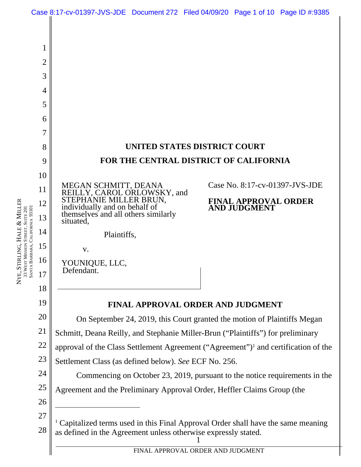

NYE, STIRLING, HALE & MILLER 33 WEST MISSION STREET, SUITE 201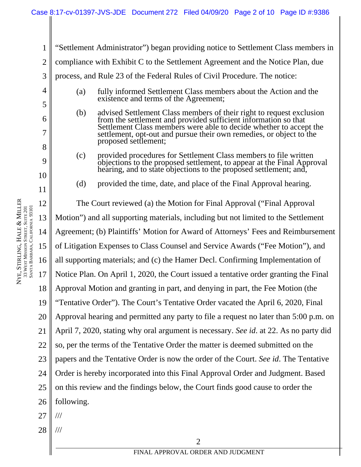"Settlement Administrator") began providing notice to Settlement Class members in

2 3 4 5 6 7 8 9 10 11 compliance with Exhibit C to the Settlement Agreement and the Notice Plan, due process, and Rule 23 of the Federal Rules of Civil Procedure. The notice: (a) fully informed Settlement Class members about the Action and the existence and terms of the Agreement; (b) advised Settlement Class members of their right to request exclusion from the settlement and provided sufficient information so that Settlement Class members were able to decide whether to accept the settlement, opt-out and pursue their own remedies, or object to the proposed settlement; (c) provided procedures for Settlement Class members to file written objections to the proposed settlement, to appear at the Final Approval hearing, and to state objections to the proposed settlement; and, (d) provided the time, date, and place of the Final Approval hearing.

12 13 14 15 16 17 18 19 20 21 22 23 24 25 26 The Court reviewed (a) the Motion for Final Approval ("Final Approval Motion") and all supporting materials, including but not limited to the Settlement Agreement; (b) Plaintiffs' Motion for Award of Attorneys' Fees and Reimbursement of Litigation Expenses to Class Counsel and Service Awards ("Fee Motion"), and all supporting materials; and (c) the Hamer Decl. Confirming Implementation of Notice Plan. On April 1, 2020, the Court issued a tentative order granting the Final Approval Motion and granting in part, and denying in part, the Fee Motion (the "Tentative Order"). The Court's Tentative Order vacated the April 6, 2020, Final Approval hearing and permitted any party to file a request no later than 5:00 p.m. on April 7, 2020, stating why oral argument is necessary. *See id*. at 22. As no party did so, per the terms of the Tentative Order the matter is deemed submitted on the papers and the Tentative Order is now the order of the Court. *See id*. The Tentative Order is hereby incorporated into this Final Approval Order and Judgment. Based on this review and the findings below, the Court finds good cause to order the following.

28 ///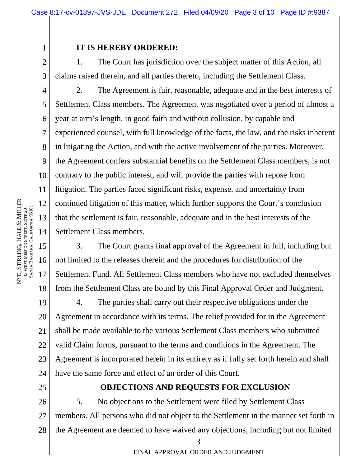# 2 3

4

5

6

7

8

9

10

11

1

#### **IT IS HEREBY ORDERED:**

1. The Court has jurisdiction over the subject matter of this Action, all claims raised therein, and all parties thereto, including the Settlement Class.

2. The Agreement is fair, reasonable, adequate and in the best interests of Settlement Class members. The Agreement was negotiated over a period of almost a year at arm's length, in good faith and without collusion, by capable and experienced counsel, with full knowledge of the facts, the law, and the risks inherent in litigating the Action, and with the active involvement of the parties. Moreover, the Agreement confers substantial benefits on the Settlement Class members, is not contrary to the public interest, and will provide the parties with repose from litigation. The parties faced significant risks, expense, and uncertainty from continued litigation of this matter, which further supports the Court's conclusion that the settlement is fair, reasonable, adequate and in the best interests of the Settlement Class members.

3. The Court grants final approval of the Agreement in full, including but not limited to the releases therein and the procedures for distribution of the Settlement Fund. All Settlement Class members who have not excluded themselves from the Settlement Class are bound by this Final Approval Order and Judgment.

19 20 21 22 23 24 4. The parties shall carry out their respective obligations under the Agreement in accordance with its terms. The relief provided for in the Agreement shall be made available to the various Settlement Class members who submitted valid Claim forms, pursuant to the terms and conditions in the Agreement. The Agreement is incorporated herein in its entirety as if fully set forth herein and shall have the same force and effect of an order of this Court.

25

# **OBJECTIONS AND REQUESTS FOR EXCLUSION**

26 27 28 5. No objections to the Settlement were filed by Settlement Class members. All persons who did not object to the Settlement in the manner set forth in the Agreement are deemed to have waived any objections, including but not limited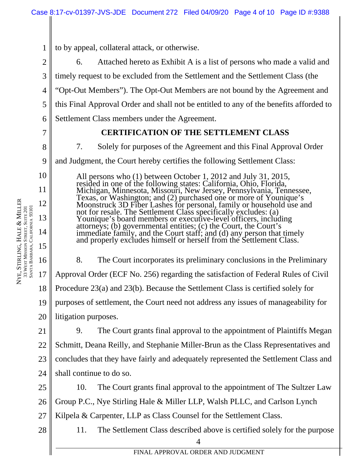to by appeal, collateral attack, or otherwise.

2 3 4 5 6 6. Attached hereto as Exhibit A is a list of persons who made a valid and timely request to be excluded from the Settlement and the Settlement Class (the "Opt-Out Members"). The Opt-Out Members are not bound by the Agreement and this Final Approval Order and shall not be entitled to any of the benefits afforded to Settlement Class members under the Agreement.

7

8

9

10

11

12

13

14

15

1

# **CERTIFICATION OF THE SETTLEMENT CLASS**

7. Solely for purposes of the Agreement and this Final Approval Order and Judgment, the Court hereby certifies the following Settlement Class:

All persons who (1) between October 1, 2012 and July 31, 2015, resided in one of the following states: California, Ohio, Florida, Michigan, Minnesota, Missouri, New Jersey, Pennsylvania, Tennessee, Texas, or Washington; and (2) purchased one or more of Younique's<br>Moonstruck 3D Fiber Lashes for personal, family or household use and<br>not for resale. The Settlement Class specifically excludes: (a)<br>Younique's board member

16 17 18 19 20 8. The Court incorporates its preliminary conclusions in the Preliminary Approval Order (ECF No. 256) regarding the satisfaction of Federal Rules of Civil Procedure 23(a) and 23(b). Because the Settlement Class is certified solely for purposes of settlement, the Court need not address any issues of manageability for litigation purposes.

21 22 23 24 9. The Court grants final approval to the appointment of Plaintiffs Megan Schmitt, Deana Reilly, and Stephanie Miller-Brun as the Class Representatives and concludes that they have fairly and adequately represented the Settlement Class and shall continue to do so.

25 26 27 10. The Court grants final approval to the appointment of The Sultzer Law Group P.C., Nye Stirling Hale & Miller LLP, Walsh PLLC, and Carlson Lynch Kilpela & Carpenter, LLP as Class Counsel for the Settlement Class.

 4 28 11. The Settlement Class described above is certified solely for the purpose

NYE, STIRLING, HALE & MILLER 33 WEST MISSION STREET, SUITE 201 SANTA BARBARA, CALIFORNIA 93101 BARBARA, CALIFORNIA 93101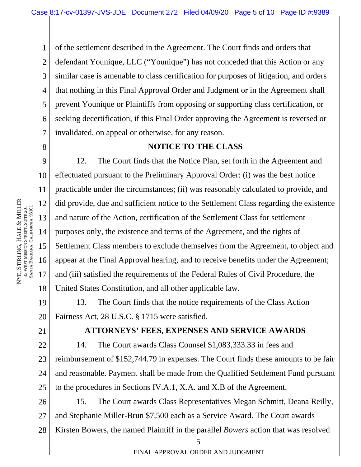1 2 3 4 5 6 7 of the settlement described in the Agreement. The Court finds and orders that defendant Younique, LLC ("Younique") has not conceded that this Action or any similar case is amenable to class certification for purposes of litigation, and orders that nothing in this Final Approval Order and Judgment or in the Agreement shall prevent Younique or Plaintiffs from opposing or supporting class certification, or seeking decertification, if this Final Order approving the Agreement is reversed or invalidated, on appeal or otherwise, for any reason.

# **NOTICE TO THE CLASS**

12. The Court finds that the Notice Plan, set forth in the Agreement and effectuated pursuant to the Preliminary Approval Order: (i) was the best notice practicable under the circumstances; (ii) was reasonably calculated to provide, and did provide, due and sufficient notice to the Settlement Class regarding the existence and nature of the Action, certification of the Settlement Class for settlement purposes only, the existence and terms of the Agreement, and the rights of Settlement Class members to exclude themselves from the Agreement, to object and appear at the Final Approval hearing, and to receive benefits under the Agreement; and (iii) satisfied the requirements of the Federal Rules of Civil Procedure, the United States Constitution, and all other applicable law.

20 13. The Court finds that the notice requirements of the Class Action Fairness Act, 28 U.S.C. § 1715 were satisfied.

21

### **ATTORNEYS' FEES, EXPENSES AND SERVICE AWARDS**

22 23 24 25 14. The Court awards Class Counsel \$1,083,333.33 in fees and reimbursement of \$152,744.79 in expenses. The Court finds these amounts to be fair and reasonable. Payment shall be made from the Qualified Settlement Fund pursuant to the procedures in Sections IV.A.1, X.A. and X.B of the Agreement.

26 27 28 15. The Court awards Class Representatives Megan Schmitt, Deana Reilly, and Stephanie Miller-Brun \$7,500 each as a Service Award. The Court awards Kirsten Bowers, the named Plaintiff in the parallel *Bowers* action that was resolved

 $\sim$  5

NYE, STIRLING, HALE

&

MILLER

8

9

FINAL APPROVAL ORDER AND JUDGMENT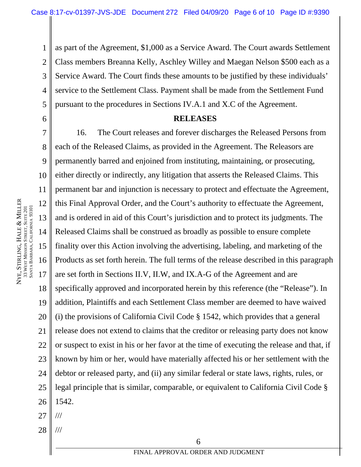1 2 3 4 5 as part of the Agreement, \$1,000 as a Service Award. The Court awards Settlement Class members Breanna Kelly, Aschley Willey and Maegan Nelson \$500 each as a Service Award. The Court finds these amounts to be justified by these individuals' service to the Settlement Class. Payment shall be made from the Settlement Fund pursuant to the procedures in Sections IV.A.1 and X.C of the Agreement.

#### **RELEASES**

7 8 9 10 11 12 13 14 15 16 17 18 19 20 21 22 23 24 25 26 16. The Court releases and forever discharges the Released Persons from each of the Released Claims, as provided in the Agreement. The Releasors are permanently barred and enjoined from instituting, maintaining, or prosecuting, either directly or indirectly, any litigation that asserts the Released Claims. This permanent bar and injunction is necessary to protect and effectuate the Agreement, this Final Approval Order, and the Court's authority to effectuate the Agreement, and is ordered in aid of this Court's jurisdiction and to protect its judgments. The Released Claims shall be construed as broadly as possible to ensure complete finality over this Action involving the advertising, labeling, and marketing of the Products as set forth herein. The full terms of the release described in this paragraph are set forth in Sections II.V, II.W, and IX.A-G of the Agreement and are specifically approved and incorporated herein by this reference (the "Release"). In addition, Plaintiffs and each Settlement Class member are deemed to have waived (i) the provisions of California Civil Code § 1542, which provides that a general release does not extend to claims that the creditor or releasing party does not know or suspect to exist in his or her favor at the time of executing the release and that, if known by him or her, would have materially affected his or her settlement with the debtor or released party, and (ii) any similar federal or state laws, rights, rules, or legal principle that is similar, comparable, or equivalent to California Civil Code § 1542.

- 27 ///
- 28 ///

6

 $\begin{array}{ccc} \hline \end{array}$  6 FINAL APPROVAL ORDER AND JUDGMENT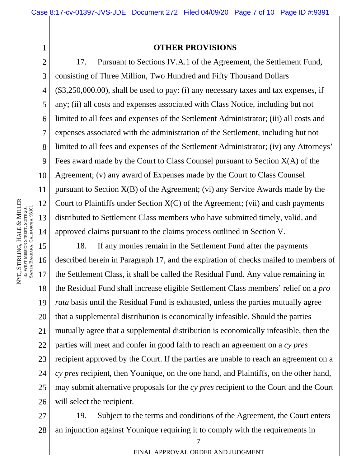#### **OTHER PROVISIONS**

17. Pursuant to Sections IV.A.1 of the Agreement, the Settlement Fund, consisting of Three Million, Two Hundred and Fifty Thousand Dollars (\$3,250,000.00), shall be used to pay: (i) any necessary taxes and tax expenses, if any; (ii) all costs and expenses associated with Class Notice, including but not limited to all fees and expenses of the Settlement Administrator; (iii) all costs and expenses associated with the administration of the Settlement, including but not limited to all fees and expenses of the Settlement Administrator; (iv) any Attorneys' Fees award made by the Court to Class Counsel pursuant to Section X(A) of the Agreement; (v) any award of Expenses made by the Court to Class Counsel pursuant to Section X(B) of the Agreement; (vi) any Service Awards made by the Court to Plaintiffs under Section  $X(C)$  of the Agreement; (vii) and cash payments distributed to Settlement Class members who have submitted timely, valid, and approved claims pursuant to the claims process outlined in Section V.

15 16 17 18 19 20 21 22 23 24 25 26 18. If any monies remain in the Settlement Fund after the payments described herein in Paragraph 17, and the expiration of checks mailed to members of the Settlement Class, it shall be called the Residual Fund. Any value remaining in the Residual Fund shall increase eligible Settlement Class members' relief on a *pro rata* basis until the Residual Fund is exhausted, unless the parties mutually agree that a supplemental distribution is economically infeasible. Should the parties mutually agree that a supplemental distribution is economically infeasible, then the parties will meet and confer in good faith to reach an agreement on a *cy pres* recipient approved by the Court. If the parties are unable to reach an agreement on a *cy pres* recipient, then Younique, on the one hand, and Plaintiffs, on the other hand, may submit alternative proposals for the *cy pres* recipient to the Court and the Court will select the recipient.

27 28 19. Subject to the terms and conditions of the Agreement, the Court enters an injunction against Younique requiring it to comply with the requirements in

1

2

3

4

5

6

7

8

9

10

11

12

13

14

FINAL APPROVAL ORDER AND JUDGMENT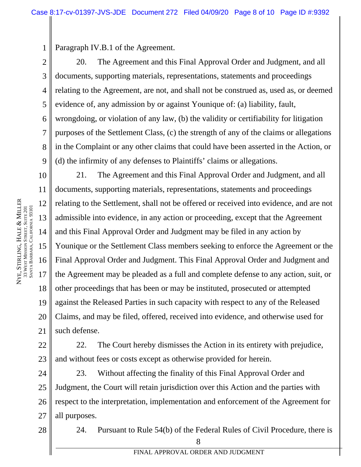Paragraph IV.B.1 of the Agreement.

20. The Agreement and this Final Approval Order and Judgment, and all documents, supporting materials, representations, statements and proceedings relating to the Agreement, are not, and shall not be construed as, used as, or deemed evidence of, any admission by or against Younique of: (a) liability, fault, wrongdoing, or violation of any law, (b) the validity or certifiability for litigation purposes of the Settlement Class, (c) the strength of any of the claims or allegations in the Complaint or any other claims that could have been asserted in the Action, or (d) the infirmity of any defenses to Plaintiffs' claims or allegations.

10 11 12 18 19 20 21 21. The Agreement and this Final Approval Order and Judgment, and all documents, supporting materials, representations, statements and proceedings relating to the Settlement, shall not be offered or received into evidence, and are not admissible into evidence, in any action or proceeding, except that the Agreement and this Final Approval Order and Judgment may be filed in any action by Younique or the Settlement Class members seeking to enforce the Agreement or the Final Approval Order and Judgment. This Final Approval Order and Judgment and the Agreement may be pleaded as a full and complete defense to any action, suit, or other proceedings that has been or may be instituted, prosecuted or attempted against the Released Parties in such capacity with respect to any of the Released Claims, and may be filed, offered, received into evidence, and otherwise used for such defense.

22 23 22. The Court hereby dismisses the Action in its entirety with prejudice, and without fees or costs except as otherwise provided for herein.

24 25 26 27 23. Without affecting the finality of this Final Approval Order and Judgment, the Court will retain jurisdiction over this Action and the parties with respect to the interpretation, implementation and enforcement of the Agreement for all purposes.

28

 8 24. Pursuant to Rule 54(b) of the Federal Rules of Civil Procedure, there is

1

2

3

4

5

6

7

8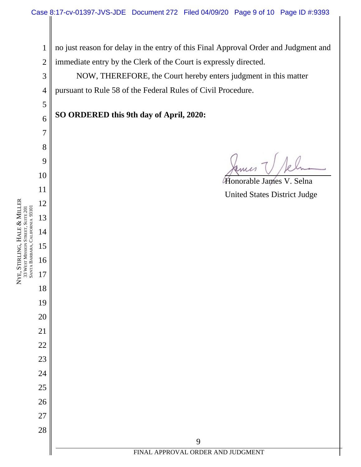no just reason for delay in the entry of this Final Approval Order and Judgment and immediate entry by the Clerk of the Court is expressly directed.

NOW, THEREFORE, the Court hereby enters judgment in this matter pursuant to Rule 58 of the Federal Rules of Civil Procedure.

**SO ORDERED this 9th day of April, 2020:** 

NYE, STIRLING, HALE

&

MILLER

ames

 Honorable James V. Selna United States District Judge